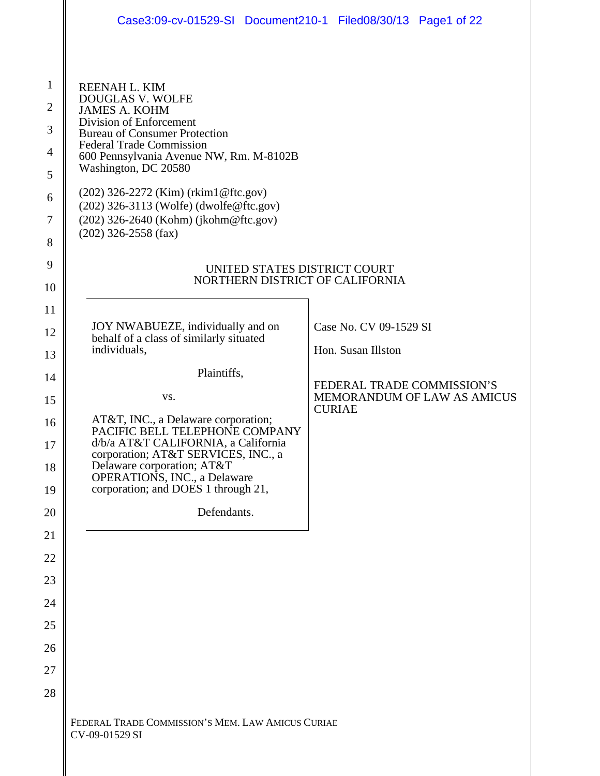|                                                                                                                   | Case3:09-cv-01529-SI Document210-1 Filed08/30/13 Page1 of 22                                                                                                                                                                                                                                                                                                                             |                        |                             |
|-------------------------------------------------------------------------------------------------------------------|------------------------------------------------------------------------------------------------------------------------------------------------------------------------------------------------------------------------------------------------------------------------------------------------------------------------------------------------------------------------------------------|------------------------|-----------------------------|
|                                                                                                                   |                                                                                                                                                                                                                                                                                                                                                                                          |                        |                             |
| $\mathbf{1}$<br>$\overline{2}$<br>$\mathfrak{Z}$<br>$\overline{\mathcal{A}}$<br>$\mathfrak s$<br>6<br>7<br>8<br>9 | REENAH L. KIM<br>DOUGLAS V. WOLFE<br><b>JAMES A. KOHM</b><br>Division of Enforcement<br><b>Bureau of Consumer Protection</b><br><b>Federal Trade Commission</b><br>600 Pennsylvania Avenue NW, Rm. M-8102B<br>Washington, DC 20580<br>(202) 326-2272 (Kim) (rkim1@ftc.gov)<br>(202) 326-3113 (Wolfe) (dwolfe@ftc.gov)<br>(202) 326-2640 (Kohm) (jkohm@ftc.gov)<br>$(202)$ 326-2558 (fax) |                        |                             |
| 10                                                                                                                | UNITED STATES DISTRICT COURT<br>NORTHERN DISTRICT OF CALIFORNIA                                                                                                                                                                                                                                                                                                                          |                        |                             |
| 11                                                                                                                |                                                                                                                                                                                                                                                                                                                                                                                          |                        |                             |
| 12                                                                                                                | JOY NWABUEZE, individually and on<br>behalf of a class of similarly situated                                                                                                                                                                                                                                                                                                             | Case No. CV 09-1529 SI |                             |
| 13                                                                                                                | individuals,                                                                                                                                                                                                                                                                                                                                                                             | Hon. Susan Illston     |                             |
| 14                                                                                                                | Plaintiffs,                                                                                                                                                                                                                                                                                                                                                                              |                        | FEDERAL TRADE COMMISSION'S  |
| 15                                                                                                                | VS.                                                                                                                                                                                                                                                                                                                                                                                      | <b>CURIAE</b>          | MEMORANDUM OF LAW AS AMICUS |
| 16                                                                                                                | AT&T, INC., a Delaware corporation;<br>PACIFIC BELL TELEPHONE COMPANY                                                                                                                                                                                                                                                                                                                    |                        |                             |
| 17                                                                                                                | d/b/a AT&T CALIFORNIA, a California<br>corporation; AT&T SERVICES, INC., a<br>Delaware corporation; AT&T                                                                                                                                                                                                                                                                                 |                        |                             |
| 18<br>19                                                                                                          | <b>OPERATIONS</b> , INC., a Delaware<br>corporation; and DOES 1 through 21,                                                                                                                                                                                                                                                                                                              |                        |                             |
| 20                                                                                                                | Defendants.                                                                                                                                                                                                                                                                                                                                                                              |                        |                             |
| 21                                                                                                                |                                                                                                                                                                                                                                                                                                                                                                                          |                        |                             |
| 22                                                                                                                |                                                                                                                                                                                                                                                                                                                                                                                          |                        |                             |
| 23                                                                                                                |                                                                                                                                                                                                                                                                                                                                                                                          |                        |                             |
| 24                                                                                                                |                                                                                                                                                                                                                                                                                                                                                                                          |                        |                             |
| 25<br>26                                                                                                          |                                                                                                                                                                                                                                                                                                                                                                                          |                        |                             |
| 27                                                                                                                |                                                                                                                                                                                                                                                                                                                                                                                          |                        |                             |
| 28                                                                                                                |                                                                                                                                                                                                                                                                                                                                                                                          |                        |                             |
|                                                                                                                   | FEDERAL TRADE COMMISSION'S MEM. LAW AMICUS CURIAE<br>CV-09-01529 SI                                                                                                                                                                                                                                                                                                                      |                        |                             |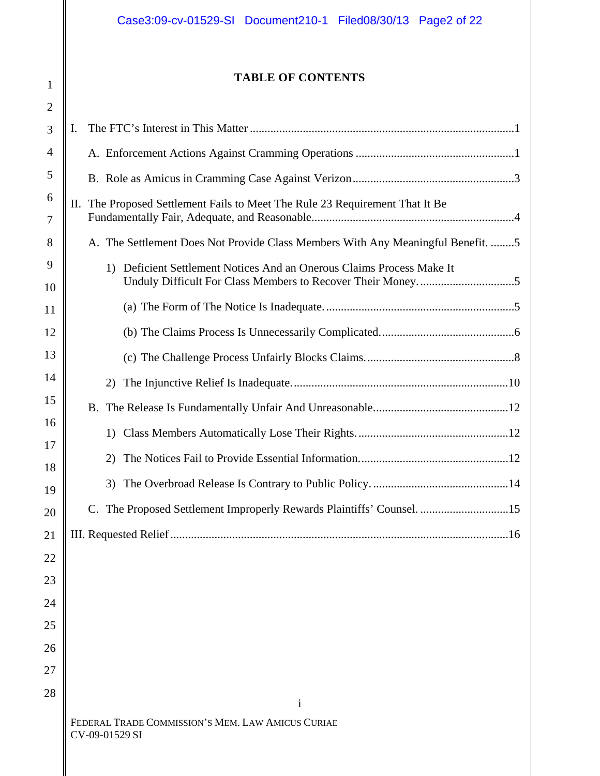# **TABLE OF CONTENTS**

1

| $\overline{2}$ |                                                                                 |
|----------------|---------------------------------------------------------------------------------|
| 3              | Ι.                                                                              |
| 4              |                                                                                 |
| 5              |                                                                                 |
| 6<br>7         | II. The Proposed Settlement Fails to Meet The Rule 23 Requirement That It Be    |
| 8              | A. The Settlement Does Not Provide Class Members With Any Meaningful Benefit. 5 |
| 9<br>10        | Deficient Settlement Notices And an Onerous Claims Process Make It<br>1)        |
| 11             |                                                                                 |
| 12             |                                                                                 |
| 13             |                                                                                 |
| 14             | 2)                                                                              |
| 15             |                                                                                 |
| 16<br>17       | 1)                                                                              |
| 18             | 2)                                                                              |
| 19             | 3)                                                                              |
| 20             | C. The Proposed Settlement Improperly Rewards Plaintiffs' Counsel. 15           |
| 21             |                                                                                 |
| 22             |                                                                                 |
| 23             |                                                                                 |
| 24             |                                                                                 |
| 25<br>26       |                                                                                 |
| 27             |                                                                                 |
| 28             |                                                                                 |
|                | i                                                                               |
|                | FEDERAL TRADE COMMISSION'S MEM. LAW AMICUS CURIAE<br>CV-09-01529 SI             |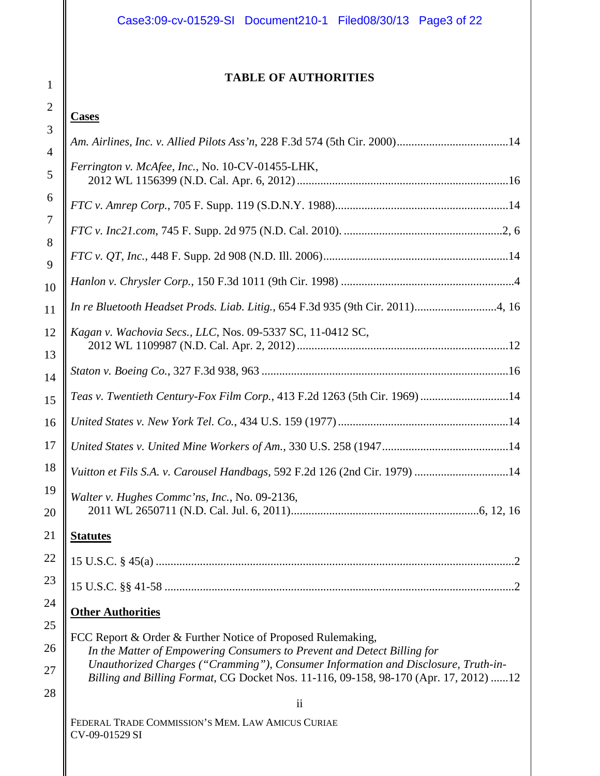# **TABLE OF AUTHORITIES**

# **Cases**

|                     | Ferrington v. McAfee, Inc., No. 10-CV-01455-LHK,                                                                                                                                                                                                     |
|---------------------|------------------------------------------------------------------------------------------------------------------------------------------------------------------------------------------------------------------------------------------------------|
|                     |                                                                                                                                                                                                                                                      |
|                     |                                                                                                                                                                                                                                                      |
|                     |                                                                                                                                                                                                                                                      |
| 0                   |                                                                                                                                                                                                                                                      |
| $\mathbf{1}$        | In re Bluetooth Headset Prods. Liab. Litig., 654 F.3d 935 (9th Cir. 2011)4, 16                                                                                                                                                                       |
| $\overline{c}$<br>3 | Kagan v. Wachovia Secs., LLC, Nos. 09-5337 SC, 11-0412 SC,                                                                                                                                                                                           |
| 4                   |                                                                                                                                                                                                                                                      |
| 5                   | Teas v. Twentieth Century-Fox Film Corp., 413 F.2d 1263 (5th Cir. 1969) 14                                                                                                                                                                           |
| 6                   |                                                                                                                                                                                                                                                      |
| 7                   |                                                                                                                                                                                                                                                      |
| 8                   | Vuitton et Fils S.A. v. Carousel Handbags, 592 F.2d 126 (2nd Cir. 1979) 14                                                                                                                                                                           |
| 9<br>0              | Walter v. Hughes Commc'ns, Inc., No. 09-2136,                                                                                                                                                                                                        |
| $\mathbf 1$         | <b>Statutes</b>                                                                                                                                                                                                                                      |
| 2                   | $\cdot$                                                                                                                                                                                                                                              |
| 3                   |                                                                                                                                                                                                                                                      |
| 4                   | <b>Other Authorities</b>                                                                                                                                                                                                                             |
| 5<br>б              | FCC Report & Order & Further Notice of Proposed Rulemaking,                                                                                                                                                                                          |
| 7                   | In the Matter of Empowering Consumers to Prevent and Detect Billing for<br>Unauthorized Charges ("Cramming"), Consumer Information and Disclosure, Truth-in-<br>Billing and Billing Format, CG Docket Nos. 11-116, 09-158, 98-170 (Apr. 17, 2012) 12 |
| 8                   | $\overline{\mathbf{u}}$                                                                                                                                                                                                                              |
|                     | FEDERAL TRADE COMMISSION'S MEM. LAW AMICUS CURIAE<br>CV-09-01529 SI                                                                                                                                                                                  |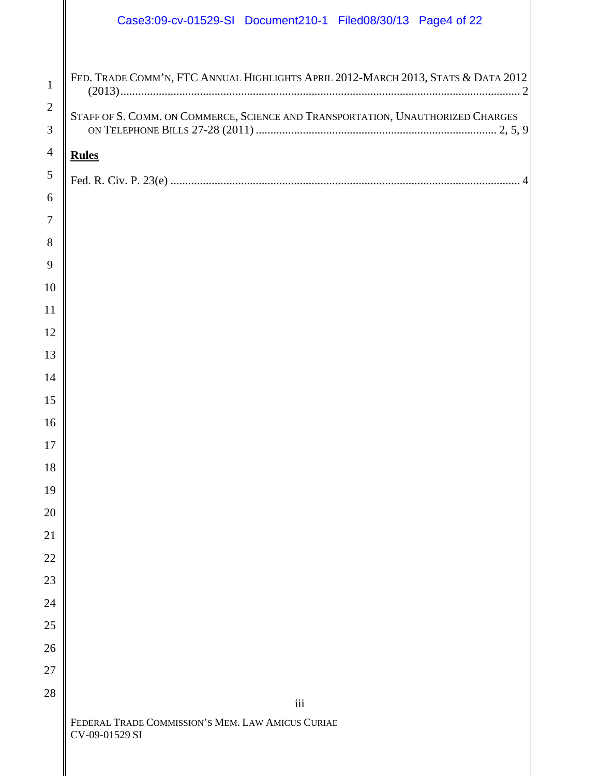|                                | Case3:09-cv-01529-SI Document210-1 Filed08/30/13 Page4 of 22                      |
|--------------------------------|-----------------------------------------------------------------------------------|
| $\mathbf{1}$<br>$\overline{2}$ | FED. TRADE COMM'N, FTC ANNUAL HIGHLIGHTS APRIL 2012-MARCH 2013, STATS & DATA 2012 |
| 3                              | STAFF OF S. COMM. ON COMMERCE, SCIENCE AND TRANSPORTATION, UNAUTHORIZED CHARGES   |
| $\overline{4}$                 | <b>Rules</b>                                                                      |
| 5                              |                                                                                   |
| 6                              |                                                                                   |
| 7<br>8                         |                                                                                   |
| 9                              |                                                                                   |
| 10                             |                                                                                   |
| 11                             |                                                                                   |
| 12                             |                                                                                   |
| 13                             |                                                                                   |
| 14                             |                                                                                   |
| 15                             |                                                                                   |
| $16\,$                         |                                                                                   |
| $17\,$<br>18                   |                                                                                   |
| 19                             |                                                                                   |
| 20                             |                                                                                   |
| 21                             |                                                                                   |
| $22\,$                         |                                                                                   |
| 23                             |                                                                                   |

FEDERAL TRADE COMMISSION'S MEM. LAW AMICUS CURIAE CV-09-01529 SI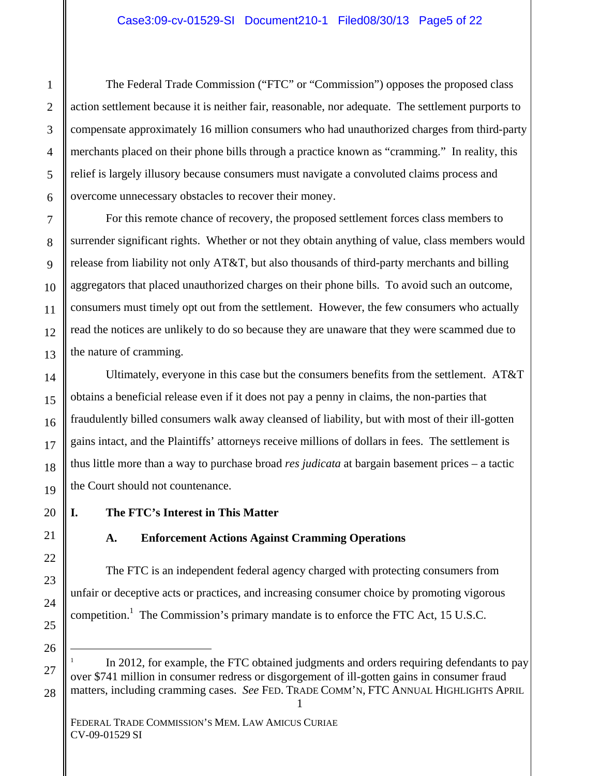The Federal Trade Commission ("FTC" or "Commission") opposes the proposed class action settlement because it is neither fair, reasonable, nor adequate. The settlement purports to compensate approximately 16 million consumers who had unauthorized charges from third-party merchants placed on their phone bills through a practice known as "cramming." In reality, this relief is largely illusory because consumers must navigate a convoluted claims process and overcome unnecessary obstacles to recover their money.

For this remote chance of recovery, the proposed settlement forces class members to surrender significant rights. Whether or not they obtain anything of value, class members would release from liability not only AT&T, but also thousands of third-party merchants and billing aggregators that placed unauthorized charges on their phone bills. To avoid such an outcome, consumers must timely opt out from the settlement. However, the few consumers who actually read the notices are unlikely to do so because they are unaware that they were scammed due to the nature of cramming.

Ultimately, everyone in this case but the consumers benefits from the settlement. AT&T obtains a beneficial release even if it does not pay a penny in claims, the non-parties that fraudulently billed consumers walk away cleansed of liability, but with most of their ill-gotten gains intact, and the Plaintiffs' attorneys receive millions of dollars in fees. The settlement is thus little more than a way to purchase broad *res judicata* at bargain basement prices – a tactic the Court should not countenance.

# **I. The FTC's Interest in This Matter**

# **A. Enforcement Actions Against Cramming Operations**

The FTC is an independent federal agency charged with protecting consumers from unfair or deceptive acts or practices, and increasing consumer choice by promoting vigorous competition.<sup>1</sup> The Commission's primary mandate is to enforce the FTC Act, 15 U.S.C.

In 2012, for example, the FTC obtained judgments and orders requiring defendants to pay over \$741 million in consumer redress or disgorgement of ill-gotten gains in consumer fraud matters, including cramming cases. *See* FED. TRADE COMM'N, FTC ANNUAL HIGHLIGHTS APRIL

 $\overline{a}$ 

1

2

3

4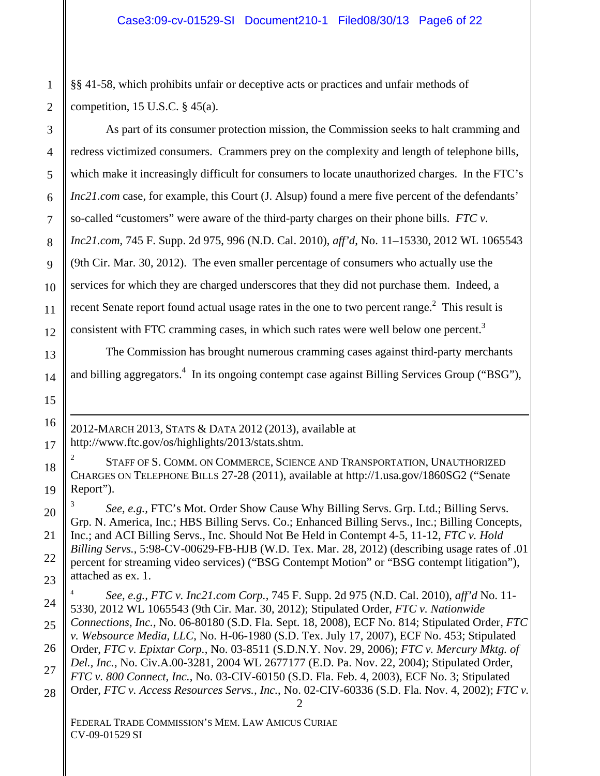§§ 41-58, which prohibits unfair or deceptive acts or practices and unfair methods of competition, 15 U.S.C.  $\S$  45(a).

As part of its consumer protection mission, the Commission seeks to halt cramming and redress victimized consumers. Crammers prey on the complexity and length of telephone bills, which make it increasingly difficult for consumers to locate unauthorized charges. In the FTC's *Inc21.com* case, for example, this Court (J. Alsup) found a mere five percent of the defendants' so-called "customers" were aware of the third-party charges on their phone bills. *FTC v. Inc21.com*, 745 F. Supp. 2d 975, 996 (N.D. Cal. 2010), *aff'd*, No. 11–15330, 2012 WL 1065543 (9th Cir. Mar. 30, 2012). The even smaller percentage of consumers who actually use the services for which they are charged underscores that they did not purchase them. Indeed, a recent Senate report found actual usage rates in the one to two percent range. $2$  This result is consistent with FTC cramming cases, in which such rates were well below one percent.<sup>3</sup>

The Commission has brought numerous cramming cases against third-party merchants and billing aggregators.<sup>4</sup> In its ongoing contempt case against Billing Services Group ("BSG"),

2012-MARCH 2013, STATS & DATA 2012 (2013), available at http://www.ftc.gov/os/highlights/2013/stats.shtm.

2 STAFF OF S. COMM. ON COMMERCE, SCIENCE AND TRANSPORTATION, UNAUTHORIZED CHARGES ON TELEPHONE BILLS 27-28 (2011), available at http://1.usa.gov/1860SG2 ("Senate Report").

<sup>3</sup>*See, e.g.,* FTC's Mot. Order Show Cause Why Billing Servs. Grp. Ltd.; Billing Servs. Grp. N. America, Inc.; HBS Billing Servs. Co.; Enhanced Billing Servs., Inc.; Billing Concepts, Inc.; and ACI Billing Servs., Inc. Should Not Be Held in Contempt 4-5, 11-12, *FTC v. Hold Billing Servs.*, 5:98-CV-00629-FB-HJB (W.D. Tex. Mar. 28, 2012) (describing usage rates of .01 percent for streaming video services) ("BSG Contempt Motion" or "BSG contempt litigation"), attached as ex. 1.

2 <sup>4</sup>*See, e.g., FTC v. Inc21.com Corp.*, 745 F. Supp. 2d 975 (N.D. Cal. 2010), *aff'd* No. 11- 5330, 2012 WL 1065543 (9th Cir. Mar. 30, 2012); Stipulated Order, *FTC v. Nationwide Connections, Inc.,* No. 06-80180 (S.D. Fla. Sept. 18, 2008), ECF No. 814; Stipulated Order, *FTC v. Websource Media, LLC*, No. H-06-1980 (S.D. Tex. July 17, 2007), ECF No. 453; Stipulated Order, *FTC v. Epixtar Corp.*, No. 03-8511 (S.D.N.Y. Nov. 29, 2006); *FTC v. Mercury Mktg. of Del., Inc.*, No. Civ.A.00-3281, 2004 WL 2677177 (E.D. Pa. Nov. 22, 2004); Stipulated Order, *FTC v. 800 Connect, Inc.*, No. 03-CIV-60150 (S.D. Fla. Feb. 4, 2003), ECF No. 3; Stipulated Order, *FTC v. Access Resources Servs., Inc.*, No. 02-CIV-60336 (S.D. Fla. Nov. 4, 2002); *FTC v.* 

FEDERAL TRADE COMMISSION'S MEM. LAW AMICUS CURIAE CV-09-01529 SI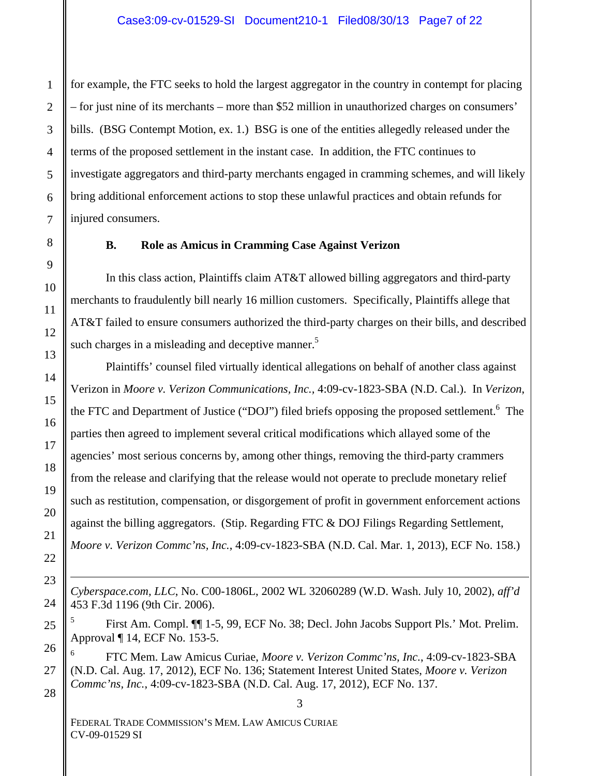for example, the FTC seeks to hold the largest aggregator in the country in contempt for placing – for just nine of its merchants – more than \$52 million in unauthorized charges on consumers' bills. (BSG Contempt Motion, ex. 1.) BSG is one of the entities allegedly released under the terms of the proposed settlement in the instant case. In addition, the FTC continues to investigate aggregators and third-party merchants engaged in cramming schemes, and will likely bring additional enforcement actions to stop these unlawful practices and obtain refunds for injured consumers.

#### **B. Role as Amicus in Cramming Case Against Verizon**

In this class action, Plaintiffs claim AT&T allowed billing aggregators and third-party merchants to fraudulently bill nearly 16 million customers. Specifically, Plaintiffs allege that AT&T failed to ensure consumers authorized the third-party charges on their bills, and described such charges in a misleading and deceptive manner.<sup>5</sup>

Plaintiffs' counsel filed virtually identical allegations on behalf of another class against Verizon in *Moore v. Verizon Communications, Inc.,* 4:09-cv-1823-SBA (N.D. Cal.). In *Verizon*, the FTC and Department of Justice ("DOJ") filed briefs opposing the proposed settlement.<sup>6</sup> The parties then agreed to implement several critical modifications which allayed some of the agencies' most serious concerns by, among other things, removing the third-party crammers from the release and clarifying that the release would not operate to preclude monetary relief such as restitution, compensation, or disgorgement of profit in government enforcement actions against the billing aggregators. (Stip. Regarding FTC & DOJ Filings Regarding Settlement, *Moore v. Verizon Commc'ns, Inc.*, 4:09-cv-1823-SBA (N.D. Cal. Mar. 1, 2013), ECF No. 158.)

*Cyberspace.com, LLC*, No. C00-1806L, 2002 WL 32060289 (W.D. Wash. July 10, 2002), *aff'd*  453 F.3d 1196 (9th Cir. 2006).

5 First Am. Compl. ¶¶ 1-5, 99, ECF No. 38; Decl. John Jacobs Support Pls.' Mot. Prelim. Approval ¶ 14, ECF No. 153-5.

6 FTC Mem. Law Amicus Curiae, *Moore v. Verizon Commc'ns, Inc.*, 4:09-cv-1823-SBA (N.D. Cal. Aug. 17, 2012), ECF No. 136; Statement Interest United States, *Moore v. Verizon Commc'ns, Inc.*, 4:09-cv-1823-SBA (N.D. Cal. Aug. 17, 2012), ECF No. 137.

3

FEDERAL TRADE COMMISSION'S MEM. LAW AMICUS CURIAE CV-09-01529 SI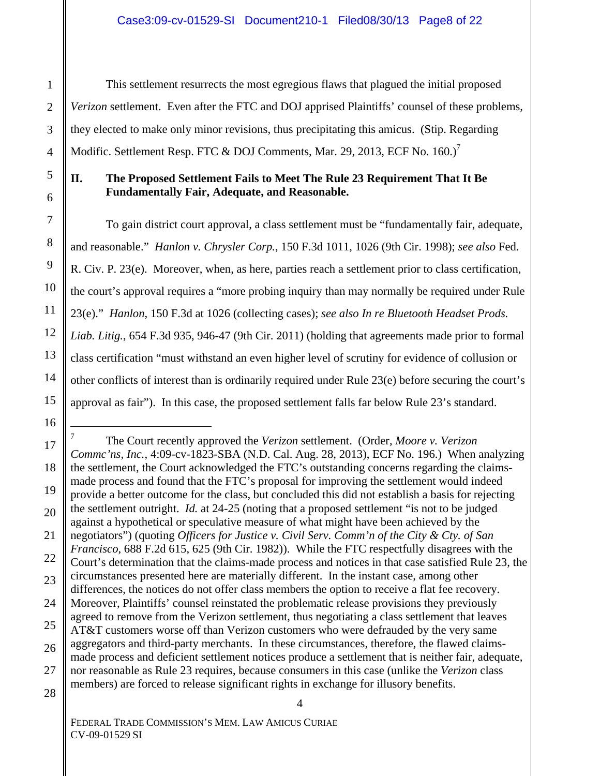This settlement resurrects the most egregious flaws that plagued the initial proposed *Verizon* settlement. Even after the FTC and DOJ apprised Plaintiffs' counsel of these problems, they elected to make only minor revisions, thus precipitating this amicus. (Stip. Regarding Modific. Settlement Resp. FTC  $&$  DOJ Comments, Mar. 29, 2013, ECF No. 160.)<sup>7</sup>

# **II. The Proposed Settlement Fails to Meet The Rule 23 Requirement That It Be Fundamentally Fair, Adequate, and Reasonable.**

To gain district court approval, a class settlement must be "fundamentally fair, adequate, and reasonable." *Hanlon v. Chrysler Corp.*, 150 F.3d 1011, 1026 (9th Cir. 1998); *see also* Fed. R. Civ. P. 23(e). Moreover, when, as here, parties reach a settlement prior to class certification, the court's approval requires a "more probing inquiry than may normally be required under Rule 23(e)." *Hanlon*, 150 F.3d at 1026 (collecting cases); *see also In re Bluetooth Headset Prods. Liab. Litig.*, 654 F.3d 935, 946-47 (9th Cir. 2011) (holding that agreements made prior to formal class certification "must withstand an even higher level of scrutiny for evidence of collusion or other conflicts of interest than is ordinarily required under Rule 23(e) before securing the court's approval as fair"). In this case, the proposed settlement falls far below Rule 23's standard.

4

<sup>1</sup> 7 The Court recently approved the *Verizon* settlement. (Order, *Moore v. Verizon Commc'ns, Inc.*, 4:09-cv-1823-SBA (N.D. Cal. Aug. 28, 2013), ECF No. 196.) When analyzing the settlement, the Court acknowledged the FTC's outstanding concerns regarding the claimsmade process and found that the FTC's proposal for improving the settlement would indeed provide a better outcome for the class, but concluded this did not establish a basis for rejecting the settlement outright. *Id.* at 24-25 (noting that a proposed settlement "is not to be judged against a hypothetical or speculative measure of what might have been achieved by the negotiators") (quoting *Officers for Justice v. Civil Serv. Comm'n of the City & Cty. of San Francisco*, 688 F.2d 615, 625 (9th Cir. 1982)). While the FTC respectfully disagrees with the Court's determination that the claims-made process and notices in that case satisfied Rule 23, the circumstances presented here are materially different. In the instant case, among other differences, the notices do not offer class members the option to receive a flat fee recovery. Moreover, Plaintiffs' counsel reinstated the problematic release provisions they previously agreed to remove from the Verizon settlement, thus negotiating a class settlement that leaves AT&T customers worse off than Verizon customers who were defrauded by the very same aggregators and third-party merchants. In these circumstances, therefore, the flawed claimsmade process and deficient settlement notices produce a settlement that is neither fair, adequate, nor reasonable as Rule 23 requires, because consumers in this case (unlike the *Verizon* class members) are forced to release significant rights in exchange for illusory benefits.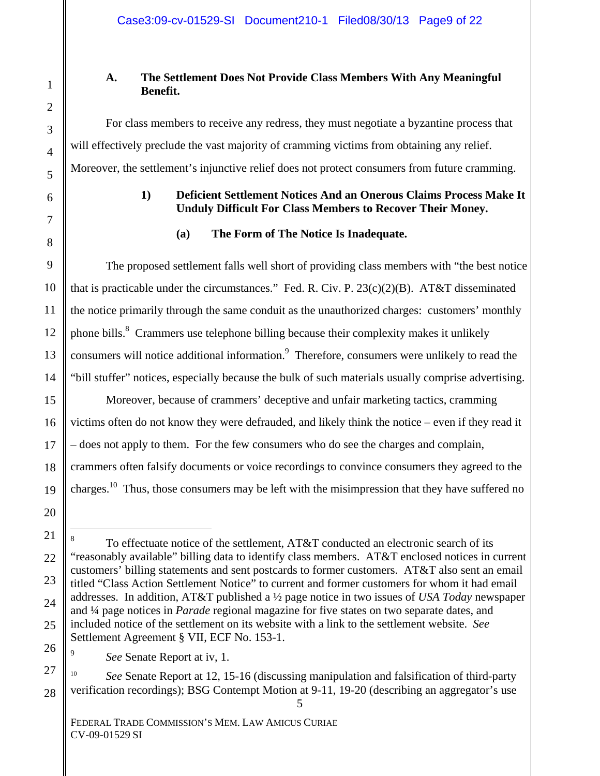# **A. The Settlement Does Not Provide Class Members With Any Meaningful Benefit.**

For class members to receive any redress, they must negotiate a byzantine process that will effectively preclude the vast majority of cramming victims from obtaining any relief. Moreover, the settlement's injunctive relief does not protect consumers from future cramming.

## **1) Deficient Settlement Notices And an Onerous Claims Process Make It Unduly Difficult For Class Members to Recover Their Money.**

### **(a) The Form of The Notice Is Inadequate.**

The proposed settlement falls well short of providing class members with "the best notice that is practicable under the circumstances." Fed. R. Civ. P. 23(c)(2)(B). AT&T disseminated the notice primarily through the same conduit as the unauthorized charges: customers' monthly phone bills.<sup>8</sup> Crammers use telephone billing because their complexity makes it unlikely consumers will notice additional information.<sup>9</sup> Therefore, consumers were unlikely to read the "bill stuffer" notices, especially because the bulk of such materials usually comprise advertising.

Moreover, because of crammers' deceptive and unfair marketing tactics, cramming victims often do not know they were defrauded, and likely think the notice – even if they read it – does not apply to them. For the few consumers who do see the charges and complain, crammers often falsify documents or voice recordings to convince consumers they agreed to the charges.10 Thus, those consumers may be left with the misimpression that they have suffered no

5

<sup>&</sup>lt;u>.</u> 8 To effectuate notice of the settlement, AT&T conducted an electronic search of its "reasonably available" billing data to identify class members. AT&T enclosed notices in current customers' billing statements and sent postcards to former customers. AT&T also sent an email titled "Class Action Settlement Notice" to current and former customers for whom it had email addresses. In addition, AT&T published a ½ page notice in two issues of *USA Today* newspaper and ¼ page notices in *Parade* regional magazine for five states on two separate dates, and included notice of the settlement on its website with a link to the settlement website. *See* Settlement Agreement § VII, ECF No. 153-1.

*See* Senate Report at iv, 1.

<sup>10</sup>*See* Senate Report at 12, 15-16 (discussing manipulation and falsification of third-party verification recordings); BSG Contempt Motion at 9-11, 19-20 (describing an aggregator's use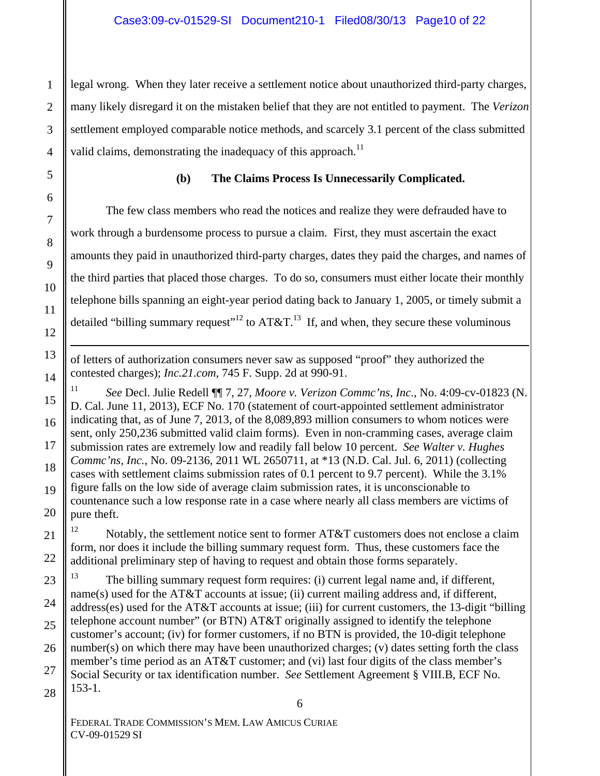legal wrong. When they later receive a settlement notice about unauthorized third-party charges, many likely disregard it on the mistaken belief that they are not entitled to payment. The *Verizon* settlement employed comparable notice methods, and scarcely 3.1 percent of the class submitted valid claims, demonstrating the inadequacy of this approach.<sup>11</sup>

#### **(b) The Claims Process Is Unnecessarily Complicated.**

The few class members who read the notices and realize they were defrauded have to work through a burdensome process to pursue a claim. First, they must ascertain the exact amounts they paid in unauthorized third-party charges, dates they paid the charges, and names of the third parties that placed those charges. To do so, consumers must either locate their monthly telephone bills spanning an eight-year period dating back to January 1, 2005, or timely submit a detailed "billing summary request"<sup>12</sup> to AT&T.<sup>13</sup> If, and when, they secure these voluminous

of letters of authorization consumers never saw as supposed "proof" they authorized the contested charges); *Inc.21.com*, 745 F. Supp. 2d at 990-91.

11 *See* Decl. Julie Redell ¶¶ 7, 27, *Moore v. Verizon Commc'ns, Inc*., No. 4:09-cv-01823 (N. D. Cal. June 11, 2013), ECF No. 170 (statement of court-appointed settlement administrator indicating that, as of June 7, 2013, of the 8,089,893 million consumers to whom notices were sent, only 250,236 submitted valid claim forms). Even in non-cramming cases, average claim submission rates are extremely low and readily fall below 10 percent. *See Walter v. Hughes Commc'ns, Inc.*, No. 09-2136, 2011 WL 2650711, at \*13 (N.D. Cal. Jul. 6, 2011) (collecting cases with settlement claims submission rates of 0.1 percent to 9.7 percent). While the 3.1% figure falls on the low side of average claim submission rates, it is unconscionable to countenance such a low response rate in a case where nearly all class members are victims of pure theft.

<sup>12</sup> Notably, the settlement notice sent to former AT&T customers does not enclose a claim form, nor does it include the billing summary request form. Thus, these customers face the additional preliminary step of having to request and obtain those forms separately.

 $13$  The billing summary request form requires: (i) current legal name and, if different, name(s) used for the AT&T accounts at issue; (ii) current mailing address and, if different, address(es) used for the AT&T accounts at issue; (iii) for current customers, the 13-digit "billing telephone account number" (or BTN) AT&T originally assigned to identify the telephone customer's account; (iv) for former customers, if no BTN is provided, the 10-digit telephone number(s) on which there may have been unauthorized charges; (v) dates setting forth the class member's time period as an AT&T customer; and (vi) last four digits of the class member's Social Security or tax identification number. *See* Settlement Agreement § VIII.B, ECF No. 153-1.

FEDERAL TRADE COMMISSION'S MEM. LAW AMICUS CURIAE CV-09-01529 SI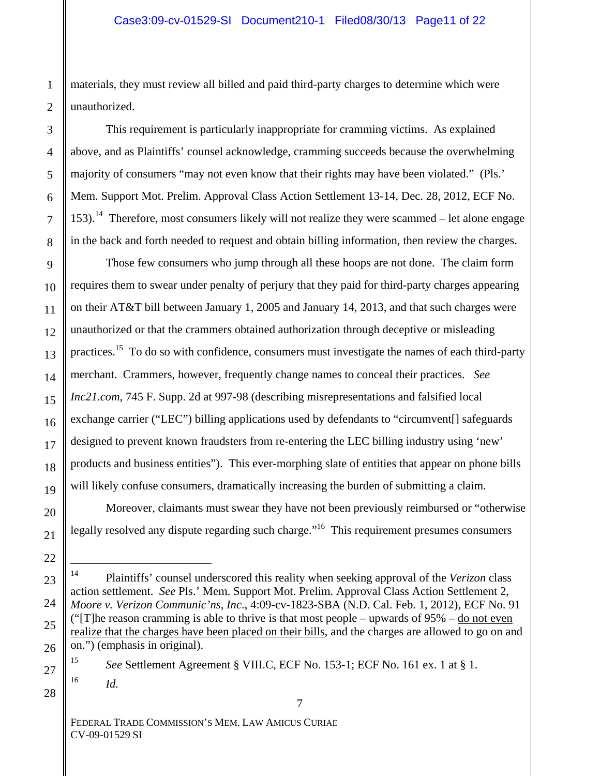materials, they must review all billed and paid third-party charges to determine which were unauthorized.

This requirement is particularly inappropriate for cramming victims. As explained above, and as Plaintiffs' counsel acknowledge, cramming succeeds because the overwhelming majority of consumers "may not even know that their rights may have been violated." (Pls.' Mem. Support Mot. Prelim. Approval Class Action Settlement 13-14, Dec. 28, 2012, ECF No.  $153$ ).<sup>14</sup> Therefore, most consumers likely will not realize they were scammed – let alone engage in the back and forth needed to request and obtain billing information, then review the charges.

Those few consumers who jump through all these hoops are not done. The claim form requires them to swear under penalty of perjury that they paid for third-party charges appearing on their AT&T bill between January 1, 2005 and January 14, 2013, and that such charges were unauthorized or that the crammers obtained authorization through deceptive or misleading practices.<sup>15</sup> To do so with confidence, consumers must investigate the names of each third-party merchant. Crammers, however, frequently change names to conceal their practices. *See Inc21.com*, 745 F. Supp. 2d at 997-98 (describing misrepresentations and falsified local exchange carrier ("LEC") billing applications used by defendants to "circumvent[] safeguards designed to prevent known fraudsters from re-entering the LEC billing industry using 'new' products and business entities"). This ever-morphing slate of entities that appear on phone bills will likely confuse consumers, dramatically increasing the burden of submitting a claim.

Moreover, claimants must swear they have not been previously reimbursed or "otherwise legally resolved any dispute regarding such charge."<sup>16</sup> This requirement presumes consumers

7

<sup>14</sup> Plaintiffs' counsel underscored this reality when seeking approval of the *Verizon* class action settlement. *See* Pls.' Mem. Support Mot. Prelim. Approval Class Action Settlement 2, *Moore v. Verizon Communic'ns, Inc*., 4:09-cv-1823-SBA (N.D. Cal. Feb. 1, 2012), ECF No. 91 ("[T]he reason cramming is able to thrive is that most people – upwards of  $95\%$  – do not even realize that the charges have been placed on their bills, and the charges are allowed to go on and on.") (emphasis in original).

<sup>15</sup> *See* Settlement Agreement § VIII.C, ECF No. 153-1; ECF No. 161 ex. 1 at § 1. 16 *Id.*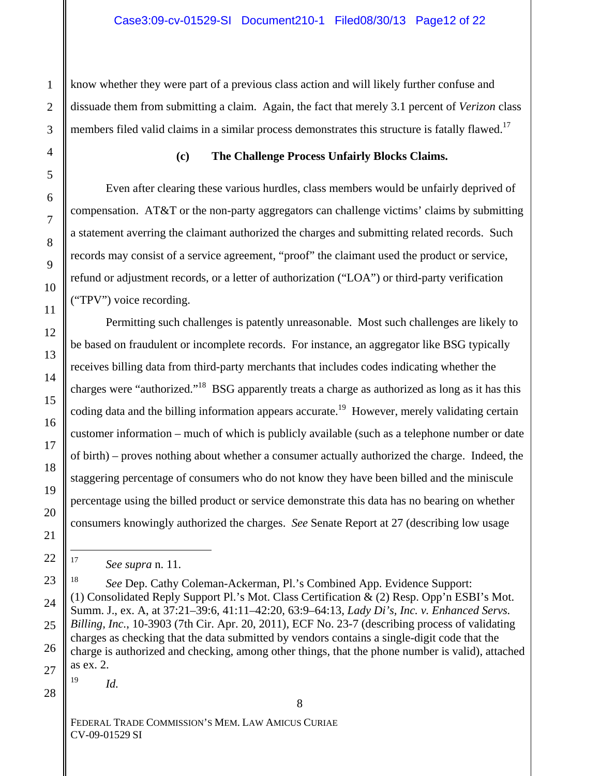know whether they were part of a previous class action and will likely further confuse and dissuade them from submitting a claim. Again, the fact that merely 3.1 percent of *Verizon* class members filed valid claims in a similar process demonstrates this structure is fatally flawed.<sup>17</sup>

### **(c) The Challenge Process Unfairly Blocks Claims.**

Even after clearing these various hurdles, class members would be unfairly deprived of compensation. AT&T or the non-party aggregators can challenge victims' claims by submitting a statement averring the claimant authorized the charges and submitting related records. Such records may consist of a service agreement, "proof" the claimant used the product or service, refund or adjustment records, or a letter of authorization ("LOA") or third-party verification ("TPV") voice recording.

Permitting such challenges is patently unreasonable. Most such challenges are likely to be based on fraudulent or incomplete records. For instance, an aggregator like BSG typically receives billing data from third-party merchants that includes codes indicating whether the charges were "authorized."18 BSG apparently treats a charge as authorized as long as it has this coding data and the billing information appears accurate.<sup>19</sup> However, merely validating certain customer information – much of which is publicly available (such as a telephone number or date of birth) – proves nothing about whether a consumer actually authorized the charge. Indeed, the staggering percentage of consumers who do not know they have been billed and the miniscule percentage using the billed product or service demonstrate this data has no bearing on whether consumers knowingly authorized the charges. *See* Senate Report at 27 (describing low usage

18 *See* Dep. Cathy Coleman-Ackerman, Pl.'s Combined App. Evidence Support: (1) Consolidated Reply Support Pl.'s Mot. Class Certification & (2) Resp. Opp'n ESBI's Mot. Summ. J., ex. A, at 37:21–39:6, 41:11–42:20, 63:9–64:13, *Lady Di's, Inc. v. Enhanced Servs. Billing, Inc.*, 10-3903 (7th Cir. Apr. 20, 2011), ECF No. 23-7 (describing process of validating charges as checking that the data submitted by vendors contains a single-digit code that the charge is authorized and checking, among other things, that the phone number is valid), attached as ex. 2.

8

 $19$  *Id.* 

<sup>17</sup> *See supra* n. 11.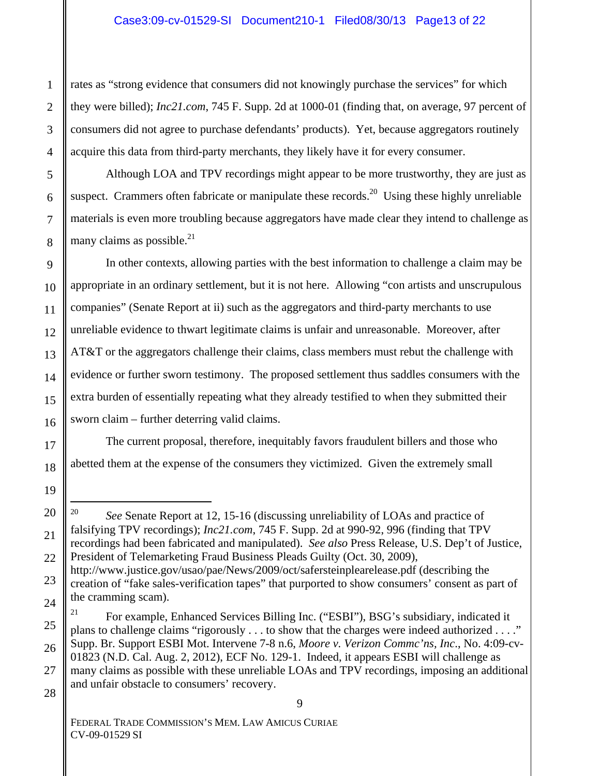rates as "strong evidence that consumers did not knowingly purchase the services" for which they were billed); *Inc21.com*, 745 F. Supp. 2d at 1000-01 (finding that, on average, 97 percent of consumers did not agree to purchase defendants' products). Yet, because aggregators routinely acquire this data from third-party merchants, they likely have it for every consumer.

Although LOA and TPV recordings might appear to be more trustworthy, they are just as suspect. Crammers often fabricate or manipulate these records.<sup>20</sup> Using these highly unreliable materials is even more troubling because aggregators have made clear they intend to challenge as many claims as possible. $21$ 

In other contexts, allowing parties with the best information to challenge a claim may be appropriate in an ordinary settlement, but it is not here. Allowing "con artists and unscrupulous companies" (Senate Report at ii) such as the aggregators and third-party merchants to use unreliable evidence to thwart legitimate claims is unfair and unreasonable. Moreover, after AT&T or the aggregators challenge their claims, class members must rebut the challenge with evidence or further sworn testimony. The proposed settlement thus saddles consumers with the extra burden of essentially repeating what they already testified to when they submitted their sworn claim – further deterring valid claims.

The current proposal, therefore, inequitably favors fraudulent billers and those who abetted them at the expense of the consumers they victimized. Given the extremely small

9

<sup>20</sup> *See* Senate Report at 12, 15-16 (discussing unreliability of LOAs and practice of falsifying TPV recordings); *Inc21.com*, 745 F. Supp. 2d at 990-92, 996 (finding that TPV recordings had been fabricated and manipulated). *See also* Press Release, U.S. Dep't of Justice,

President of Telemarketing Fraud Business Pleads Guilty (Oct. 30, 2009), http://www.justice.gov/usao/pae/News/2009/oct/safersteinplearelease.pdf (describing the creation of "fake sales-verification tapes" that purported to show consumers' consent as part of

the cramming scam).

<sup>&</sup>lt;sup>21</sup> For example, Enhanced Services Billing Inc. ("ESBI"), BSG's subsidiary, indicated it plans to challenge claims "rigorously . . . to show that the charges were indeed authorized . . . ." Supp. Br. Support ESBI Mot. Intervene 7-8 n.6, *Moore v. Verizon Commc'ns, Inc*., No. 4:09-cv-01823 (N.D. Cal. Aug. 2, 2012), ECF No. 129-1. Indeed, it appears ESBI will challenge as many claims as possible with these unreliable LOAs and TPV recordings, imposing an additional and unfair obstacle to consumers' recovery.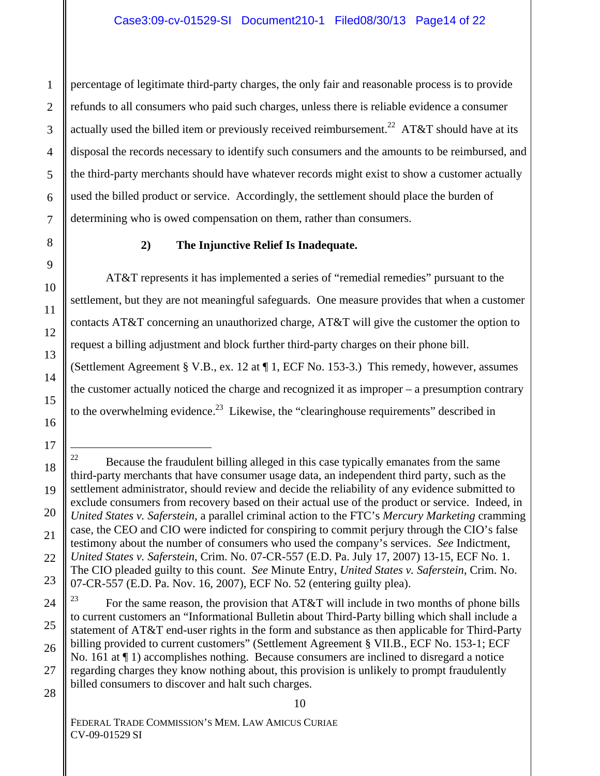percentage of legitimate third-party charges, the only fair and reasonable process is to provide refunds to all consumers who paid such charges, unless there is reliable evidence a consumer actually used the billed item or previously received reimbursement.<sup>22</sup> AT&T should have at its disposal the records necessary to identify such consumers and the amounts to be reimbursed, and the third-party merchants should have whatever records might exist to show a customer actually used the billed product or service. Accordingly, the settlement should place the burden of determining who is owed compensation on them, rather than consumers.

### **2) The Injunctive Relief Is Inadequate.**

AT&T represents it has implemented a series of "remedial remedies" pursuant to the settlement, but they are not meaningful safeguards. One measure provides that when a customer contacts AT&T concerning an unauthorized charge, AT&T will give the customer the option to request a billing adjustment and block further third-party charges on their phone bill. (Settlement Agreement § V.B., ex. 12 at ¶ 1, ECF No. 153-3.) This remedy, however, assumes the customer actually noticed the charge and recognized it as improper – a presumption contrary to the overwhelming evidence.<sup>23</sup> Likewise, the "clearinghouse requirements" described in

10

FEDERAL TRADE COMMISSION'S MEM. LAW AMICUS CURIAE CV-09-01529 SI

<sup>&</sup>lt;sup>22</sup> Because the fraudulent billing alleged in this case typically emanates from the same third-party merchants that have consumer usage data, an independent third party, such as the settlement administrator, should review and decide the reliability of any evidence submitted to exclude consumers from recovery based on their actual use of the product or service. Indeed, in *United States v. Saferstein*, a parallel criminal action to the FTC's *Mercury Marketing* cramming case, the CEO and CIO were indicted for conspiring to commit perjury through the CIO's false testimony about the number of consumers who used the company's services. *See* Indictment, *United States v. Saferstein*, Crim. No. 07-CR-557 (E.D. Pa. July 17, 2007) 13-15, ECF No. 1. The CIO pleaded guilty to this count. *See* Minute Entry, *United States v. Saferstein*, Crim. No. 07-CR-557 (E.D. Pa. Nov. 16, 2007), ECF No. 52 (entering guilty plea).

<sup>&</sup>lt;sup>23</sup> For the same reason, the provision that AT&T will include in two months of phone bills to current customers an "Informational Bulletin about Third-Party billing which shall include a statement of AT&T end-user rights in the form and substance as then applicable for Third-Party billing provided to current customers" (Settlement Agreement § VII.B., ECF No. 153-1; ECF No. 161 at ¶ 1) accomplishes nothing. Because consumers are inclined to disregard a notice regarding charges they know nothing about, this provision is unlikely to prompt fraudulently billed consumers to discover and halt such charges.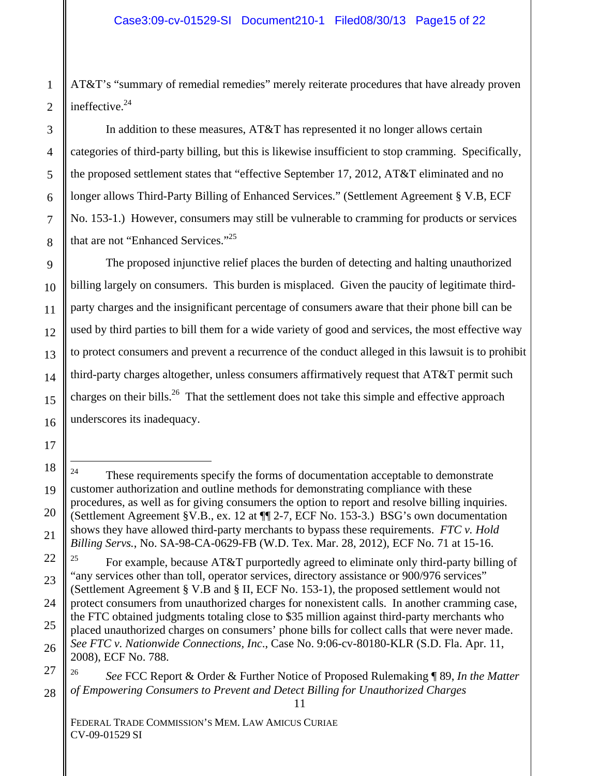AT&T's "summary of remedial remedies" merely reiterate procedures that have already proven ineffective.<sup>24</sup>

In addition to these measures, AT&T has represented it no longer allows certain categories of third-party billing, but this is likewise insufficient to stop cramming. Specifically, the proposed settlement states that "effective September 17, 2012, AT&T eliminated and no longer allows Third-Party Billing of Enhanced Services." (Settlement Agreement § V.B, ECF No. 153-1.) However, consumers may still be vulnerable to cramming for products or services that are not "Enhanced Services."25

The proposed injunctive relief places the burden of detecting and halting unauthorized billing largely on consumers. This burden is misplaced. Given the paucity of legitimate thirdparty charges and the insignificant percentage of consumers aware that their phone bill can be used by third parties to bill them for a wide variety of good and services, the most effective way to protect consumers and prevent a recurrence of the conduct alleged in this lawsuit is to prohibit third-party charges altogether, unless consumers affirmatively request that AT&T permit such charges on their bills.<sup>26</sup> That the settlement does not take this simple and effective approach underscores its inadequacy.

11

<sup>&</sup>lt;sup>24</sup> These requirements specify the forms of documentation acceptable to demonstrate customer authorization and outline methods for demonstrating compliance with these procedures, as well as for giving consumers the option to report and resolve billing inquiries. (Settlement Agreement §V.B., ex. 12 at ¶¶ 2-7, ECF No. 153-3.) BSG's own documentation shows they have allowed third-party merchants to bypass these requirements. *FTC v. Hold Billing Servs.*, No. SA-98-CA-0629-FB (W.D. Tex. Mar. 28, 2012), ECF No. 71 at 15-16.

For example, because AT&T purportedly agreed to eliminate only third-party billing of "any services other than toll, operator services, directory assistance or 900/976 services" (Settlement Agreement § V.B and § II, ECF No. 153-1), the proposed settlement would not protect consumers from unauthorized charges for nonexistent calls. In another cramming case, the FTC obtained judgments totaling close to \$35 million against third-party merchants who placed unauthorized charges on consumers' phone bills for collect calls that were never made. *See FTC v. Nationwide Connections, Inc*., Case No. 9:06-cv-80180-KLR (S.D. Fla. Apr. 11, 2008), ECF No. 788.

<sup>26</sup> *See* FCC Report & Order & Further Notice of Proposed Rulemaking ¶ 89, *In the Matter of Empowering Consumers to Prevent and Detect Billing for Unauthorized Charges*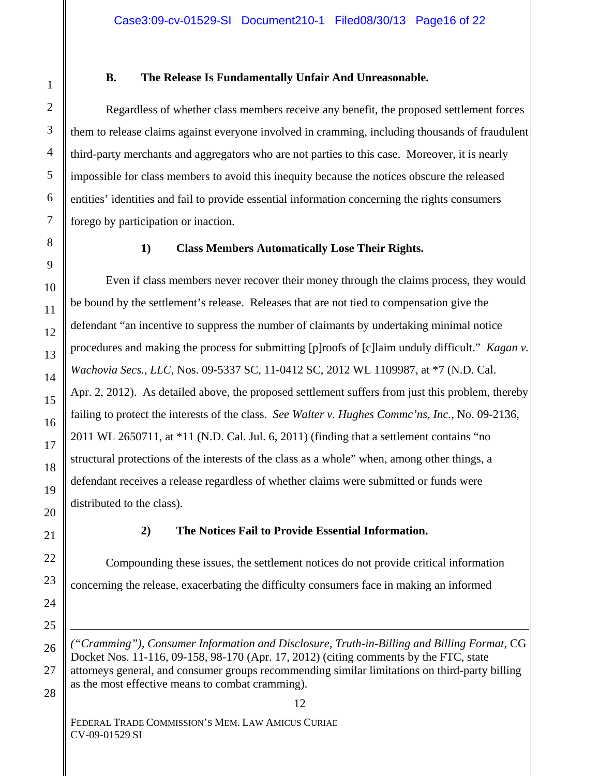#### **B. The Release Is Fundamentally Unfair And Unreasonable.**

Regardless of whether class members receive any benefit, the proposed settlement forces them to release claims against everyone involved in cramming, including thousands of fraudulent third-party merchants and aggregators who are not parties to this case. Moreover, it is nearly impossible for class members to avoid this inequity because the notices obscure the released entities' identities and fail to provide essential information concerning the rights consumers forego by participation or inaction.

# **1) Class Members Automatically Lose Their Rights.**

Even if class members never recover their money through the claims process, they would be bound by the settlement's release. Releases that are not tied to compensation give the defendant "an incentive to suppress the number of claimants by undertaking minimal notice procedures and making the process for submitting [p]roofs of [c]laim unduly difficult." *Kagan v. Wachovia Secs., LLC*, Nos. 09-5337 SC, 11-0412 SC, 2012 WL 1109987, at \*7 (N.D. Cal. Apr. 2, 2012).As detailed above, the proposed settlement suffers from just this problem, thereby failing to protect the interests of the class. *See Walter v. Hughes Commc'ns, Inc.*, No. 09-2136, 2011 WL 2650711, at \*11 (N.D. Cal. Jul. 6, 2011) (finding that a settlement contains "no structural protections of the interests of the class as a whole" when, among other things, a defendant receives a release regardless of whether claims were submitted or funds were distributed to the class).

### **2) The Notices Fail to Provide Essential Information.**

Compounding these issues, the settlement notices do not provide critical information concerning the release, exacerbating the difficulty consumers face in making an informed

*("Cramming"), Consumer Information and Disclosure, Truth-in-Billing and Billing Format*, CG Docket Nos. 11-116, 09-158, 98-170 (Apr. 17, 2012) (citing comments by the FTC, state attorneys general, and consumer groups recommending similar limitations on third-party billing as the most effective means to combat cramming).

28

 $\overline{a}$ 

FEDERAL TRADE COMMISSION'S MEM. LAW AMICUS CURIAE CV-09-01529 SI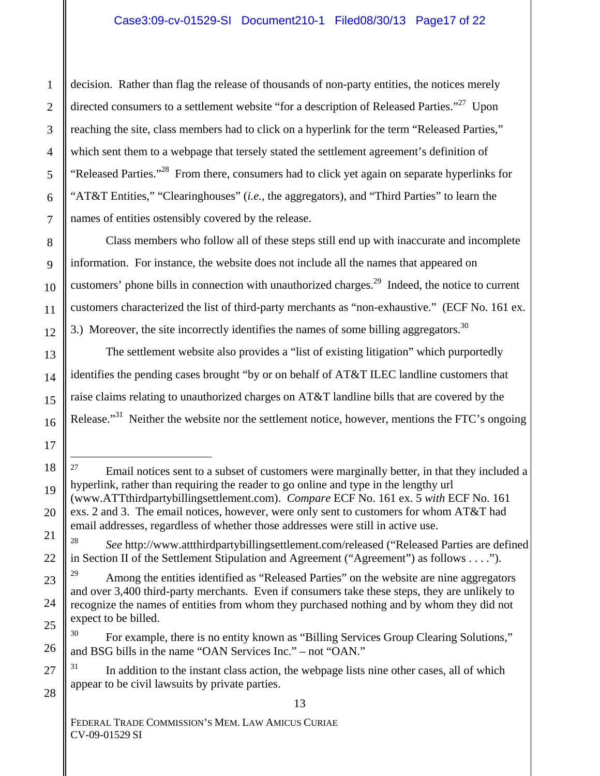decision. Rather than flag the release of thousands of non-party entities, the notices merely directed consumers to a settlement website "for a description of Released Parties."<sup>27</sup> Upon reaching the site, class members had to click on a hyperlink for the term "Released Parties," which sent them to a webpage that tersely stated the settlement agreement's definition of "Released Parties."28 From there, consumers had to click yet again on separate hyperlinks for "AT&T Entities," "Clearinghouses" (*i.e.*, the aggregators), and "Third Parties" to learn the names of entities ostensibly covered by the release.

Class members who follow all of these steps still end up with inaccurate and incomplete information. For instance, the website does not include all the names that appeared on customers' phone bills in connection with unauthorized charges.<sup>29</sup> Indeed, the notice to current customers characterized the list of third-party merchants as "non-exhaustive." (ECF No. 161 ex. 3.) Moreover, the site incorrectly identifies the names of some billing aggregators.<sup>30</sup>

The settlement website also provides a "list of existing litigation" which purportedly identifies the pending cases brought "by or on behalf of AT&T ILEC landline customers that raise claims relating to unauthorized charges on AT&T landline bills that are covered by the Release."<sup>31</sup> Neither the website nor the settlement notice, however, mentions the FTC's ongoing

 $31$  In addition to the instant class action, the webpage lists nine other cases, all of which appear to be civil lawsuits by private parties.

13

 $27$  Email notices sent to a subset of customers were marginally better, in that they included a hyperlink, rather than requiring the reader to go online and type in the lengthy url

<sup>(</sup>www.ATTthirdpartybillingsettlement.com). *Compare* ECF No. 161 ex. 5 *with* ECF No. 161 exs. 2 and 3. The email notices, however, were only sent to customers for whom AT&T had email addresses, regardless of whether those addresses were still in active use.

<sup>28</sup> *See* http://www.attthirdpartybillingsettlement.com/released ("Released Parties are defined in Section II of the Settlement Stipulation and Agreement ("Agreement") as follows . . . .").

Among the entities identified as "Released Parties" on the website are nine aggregators and over 3,400 third-party merchants. Even if consumers take these steps, they are unlikely to recognize the names of entities from whom they purchased nothing and by whom they did not expect to be billed.

<sup>&</sup>lt;sup>30</sup> For example, there is no entity known as "Billing Services Group Clearing Solutions," and BSG bills in the name "OAN Services Inc." – not "OAN."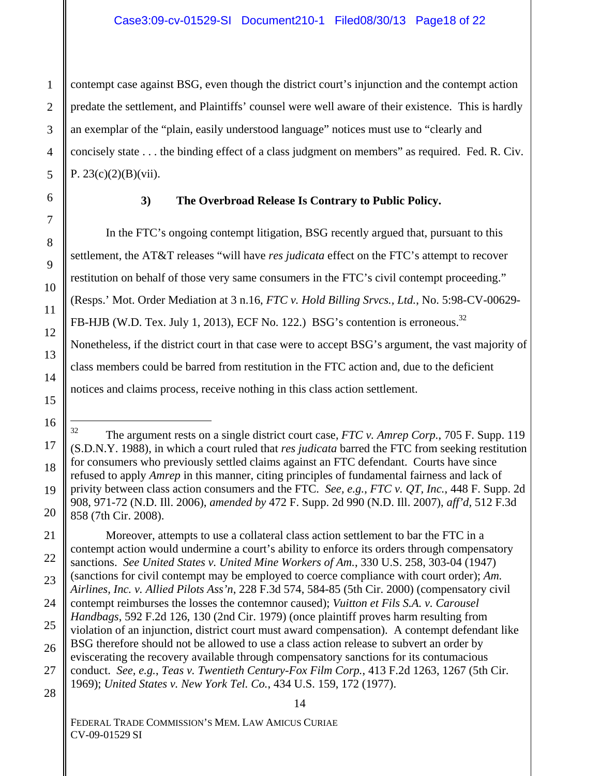contempt case against BSG, even though the district court's injunction and the contempt action predate the settlement, and Plaintiffs' counsel were well aware of their existence. This is hardly an exemplar of the "plain, easily understood language" notices must use to "clearly and concisely state . . . the binding effect of a class judgment on members" as required. Fed. R. Civ. P.  $23(c)(2)(B)(vii)$ .

### **3) The Overbroad Release Is Contrary to Public Policy.**

In the FTC's ongoing contempt litigation, BSG recently argued that, pursuant to this settlement, the AT&T releases "will have *res judicata* effect on the FTC's attempt to recover restitution on behalf of those very same consumers in the FTC's civil contempt proceeding." (Resps.' Mot. Order Mediation at 3 n.16, *FTC v. Hold Billing Srvcs., Ltd.*, No. 5:98-CV-00629- FB-HJB (W.D. Tex. July 1, 2013), ECF No. 122.) BSG's contention is erroneous.<sup>32</sup> Nonetheless, if the district court in that case were to accept BSG's argument, the vast majority of class members could be barred from restitution in the FTC action and, due to the deficient notices and claims process, receive nothing in this class action settlement.

 Moreover, attempts to use a collateral class action settlement to bar the FTC in a contempt action would undermine a court's ability to enforce its orders through compensatory sanctions. *See United States v. United Mine Workers of Am.*, 330 U.S. 258, 303-04 (1947) (sanctions for civil contempt may be employed to coerce compliance with court order); *Am. Airlines, Inc. v. Allied Pilots Ass'n*, 228 F.3d 574, 584-85 (5th Cir. 2000) (compensatory civil contempt reimburses the losses the contemnor caused); *Vuitton et Fils S.A. v. Carousel Handbags*, 592 F.2d 126, 130 (2nd Cir. 1979) (once plaintiff proves harm resulting from violation of an injunction, district court must award compensation). A contempt defendant like BSG therefore should not be allowed to use a class action release to subvert an order by eviscerating the recovery available through compensatory sanctions for its contumacious conduct. *See, e.g.*, *Teas v. Twentieth Century-Fox Film Corp.*, 413 F.2d 1263, 1267 (5th Cir. 1969); *United States v. New York Tel. Co.*, 434 U.S. 159, 172 (1977).

<sup>32</sup> The argument rests on a single district court case, *FTC v. Amrep Corp.*, 705 F. Supp. 119 (S.D.N.Y. 1988), in which a court ruled that *res judicata* barred the FTC from seeking restitution for consumers who previously settled claims against an FTC defendant. Courts have since refused to apply *Amrep* in this manner, citing principles of fundamental fairness and lack of privity between class action consumers and the FTC. *See, e.g.*, *FTC v. QT, Inc.*, 448 F. Supp. 2d 908, 971-72 (N.D. Ill. 2006), *amended by* 472 F. Supp. 2d 990 (N.D. Ill. 2007), *aff'd,* 512 F.3d 858 (7th Cir. 2008).

FEDERAL TRADE COMMISSION'S MEM. LAW AMICUS CURIAE CV-09-01529 SI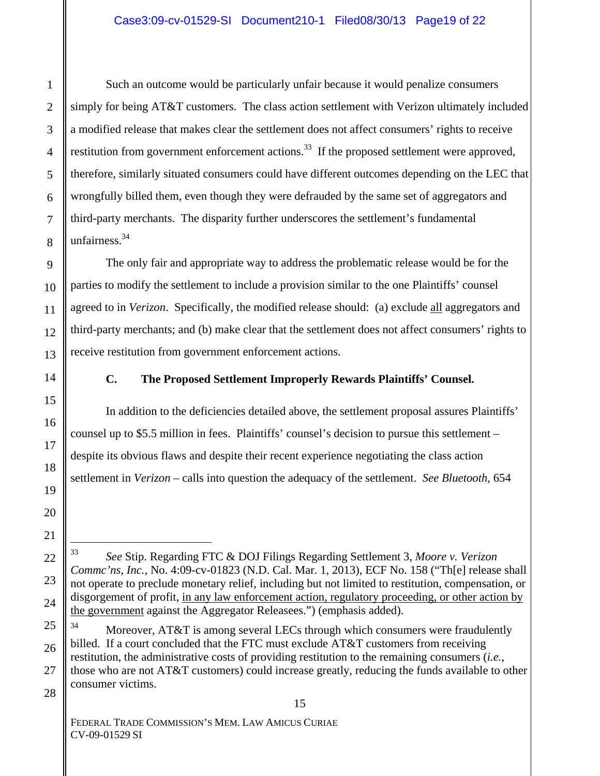Such an outcome would be particularly unfair because it would penalize consumers simply for being AT&T customers. The class action settlement with Verizon ultimately included a modified release that makes clear the settlement does not affect consumers' rights to receive restitution from government enforcement actions.<sup>33</sup> If the proposed settlement were approved, therefore, similarly situated consumers could have different outcomes depending on the LEC that wrongfully billed them, even though they were defrauded by the same set of aggregators and third-party merchants. The disparity further underscores the settlement's fundamental unfairness.<sup>34</sup>

The only fair and appropriate way to address the problematic release would be for the parties to modify the settlement to include a provision similar to the one Plaintiffs' counsel agreed to in *Verizon*. Specifically, the modified release should: (a) exclude all aggregators and third-party merchants; and (b) make clear that the settlement does not affect consumers' rights to receive restitution from government enforcement actions.

1

# **C. The Proposed Settlement Improperly Rewards Plaintiffs' Counsel.**

In addition to the deficiencies detailed above, the settlement proposal assures Plaintiffs' counsel up to \$5.5 million in fees. Plaintiffs' counsel's decision to pursue this settlement – despite its obvious flaws and despite their recent experience negotiating the class action settlement in *Verizon* – calls into question the adequacy of the settlement. *See Bluetooth*, 654

<sup>33</sup> *See* Stip. Regarding FTC & DOJ Filings Regarding Settlement 3, *Moore v. Verizon Commc'ns, Inc.*, No. 4:09-cv-01823 (N.D. Cal. Mar. 1, 2013), ECF No. 158 ("Th[e] release shall not operate to preclude monetary relief, including but not limited to restitution, compensation, or disgorgement of profit, in any law enforcement action, regulatory proceeding, or other action by the government against the Aggregator Releasees.") (emphasis added).

<sup>&</sup>lt;sup>34</sup> Moreover, AT&T is among several LECs through which consumers were fraudulently billed. If a court concluded that the FTC must exclude AT&T customers from receiving restitution, the administrative costs of providing restitution to the remaining consumers (*i.e.*, those who are not AT&T customers) could increase greatly, reducing the funds available to other consumer victims.

FEDERAL TRADE COMMISSION'S MEM. LAW AMICUS CURIAE CV-09-01529 SI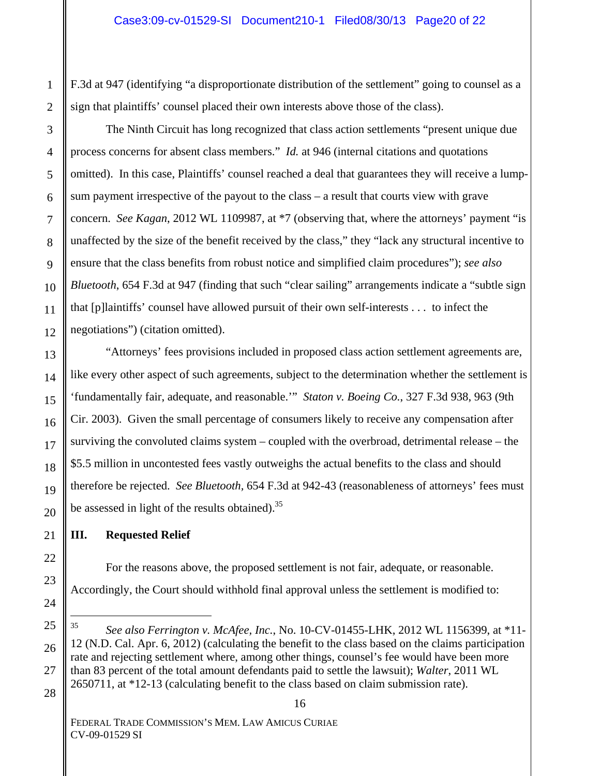F.3d at 947 (identifying "a disproportionate distribution of the settlement" going to counsel as a sign that plaintiffs' counsel placed their own interests above those of the class).

The Ninth Circuit has long recognized that class action settlements "present unique due process concerns for absent class members." *Id.* at 946 (internal citations and quotations omitted). In this case, Plaintiffs' counsel reached a deal that guarantees they will receive a lumpsum payment irrespective of the payout to the class – a result that courts view with grave concern. *See Kagan*, 2012 WL 1109987, at \*7 (observing that, where the attorneys' payment "is unaffected by the size of the benefit received by the class," they "lack any structural incentive to ensure that the class benefits from robust notice and simplified claim procedures"); *see also Bluetooth*, 654 F.3d at 947 (finding that such "clear sailing" arrangements indicate a "subtle sign that [p]laintiffs' counsel have allowed pursuit of their own self-interests . . . to infect the negotiations") (citation omitted).

"Attorneys' fees provisions included in proposed class action settlement agreements are, like every other aspect of such agreements, subject to the determination whether the settlement is 'fundamentally fair, adequate, and reasonable.'" *Staton v. Boeing Co.*, 327 F.3d 938, 963 (9th Cir. 2003). Given the small percentage of consumers likely to receive any compensation after surviving the convoluted claims system – coupled with the overbroad, detrimental release – the \$5.5 million in uncontested fees vastly outweighs the actual benefits to the class and should therefore be rejected. *See Bluetooth,* 654 F.3d at 942-43 (reasonableness of attorneys' fees must be assessed in light of the results obtained).35

# **III. Requested Relief**

For the reasons above, the proposed settlement is not fair, adequate, or reasonable. Accordingly, the Court should withhold final approval unless the settlement is modified to:

16

<sup>35</sup> *See also Ferrington v. McAfee, Inc.*, No. 10-CV-01455-LHK, 2012 WL 1156399, at \*11- 12 (N.D. Cal. Apr. 6, 2012) (calculating the benefit to the class based on the claims participation rate and rejecting settlement where, among other things, counsel's fee would have been more than 83 percent of the total amount defendants paid to settle the lawsuit); *Walter*, 2011 WL 2650711, at \*12-13 (calculating benefit to the class based on claim submission rate).

FEDERAL TRADE COMMISSION'S MEM. LAW AMICUS CURIAE CV-09-01529 SI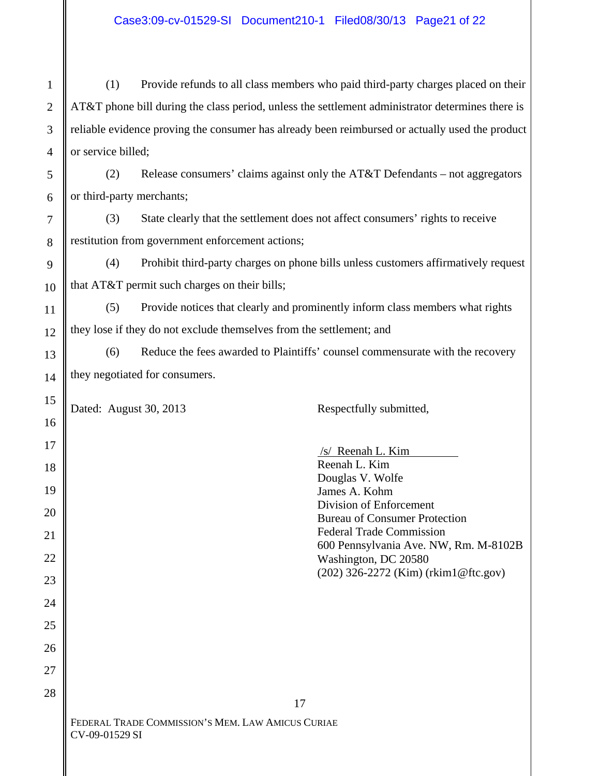(1) Provide refunds to all class members who paid third-party charges placed on their AT&T phone bill during the class period, unless the settlement administrator determines there is reliable evidence proving the consumer has already been reimbursed or actually used the product or service billed;

(2) Release consumers' claims against only the  $AT&TT$  Defendants – not aggregators or third-party merchants;

(3) State clearly that the settlement does not affect consumers' rights to receive restitution from government enforcement actions;

(4) Prohibit third-party charges on phone bills unless customers affirmatively request that AT&T permit such charges on their bills;

(5) Provide notices that clearly and prominently inform class members what rights they lose if they do not exclude themselves from the settlement; and

(6) Reduce the fees awarded to Plaintiffs' counsel commensurate with the recovery they negotiated for consumers.

17

Dated: August 30, 2013 Respectfully submitted,

 /s/ Reenah L. Kim Reenah L. Kim Douglas V. Wolfe James A. Kohm Division of Enforcement Bureau of Consumer Protection Federal Trade Commission 600 Pennsylvania Ave. NW, Rm. M-8102B Washington, DC 20580 (202) 326-2272 (Kim) (rkim1@ftc.gov)